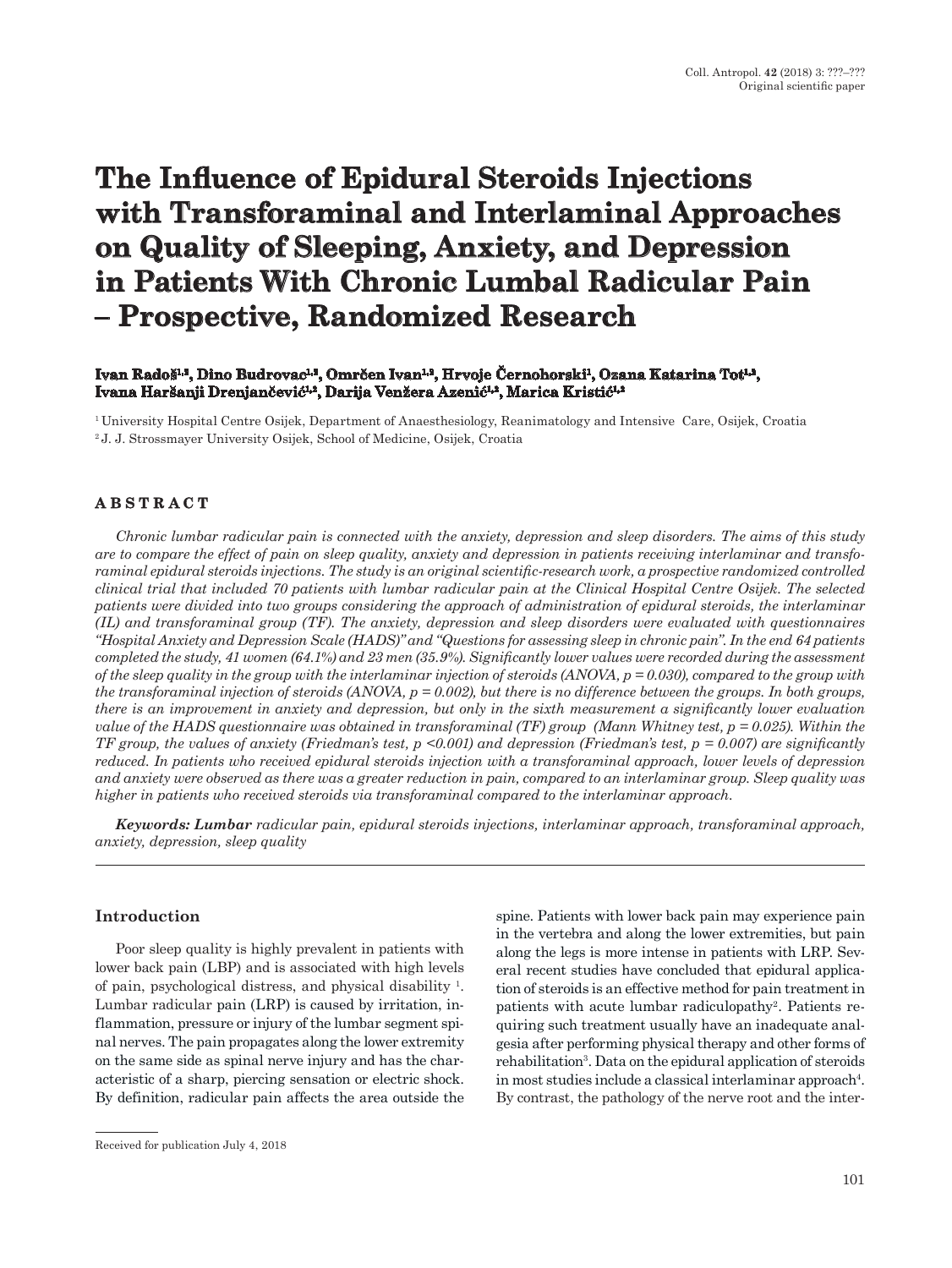# **The Influence of Epidural Steroids Injections with Transforaminal and Interlaminal Approaches on Quality of Sleeping, Anxiety, and Depression in Patients With Chronic Lumbal Radicular Pain – Prospective, Randomized Research**

## **Ivan Radoš1,2, Dino Budrovac1,2, Omrčen Ivan1,2, Hrvoje Černohorski1, Ozana Katarina Tot1,2, Ivana Haršanji Drenjančević1,2, Darija Venžera Azenić1,2, Marica Kristić1,2**

1 University Hospital Centre Osijek, Department of Anaesthesiology, Reanimatology and Intensive Care, Osijek, Croatia 2 J. J. Strossmayer University Osijek, School of Medicine, Osijek, Croatia

# **ABSTRACT**

*Chronic lumbar radicular pain is connected with the anxiety, depression and sleep disorders. The aims of this study are to compare the effect of pain on sleep quality, anxiety and depression in patients receiving interlaminar and transforaminal epidural steroids injections. The study is an original scientific-research work, a prospective randomized controlled clinical trial that included 70 patients with lumbar radicular pain at the Clinical Hospital Centre Osijek. The selected patients were divided into two groups considering the approach of administration of epidural steroids, the interlaminar (IL) and transforaminal group (TF). The anxiety, depression and sleep disorders were evaluated with questionnaires "Hospital Anxiety and Depression Scale (HADS)" and "Questions for assessing sleep in chronic pain". In the end 64 patients completed the study, 41 women (64.1%) and 23 men (35.9%). Significantly lower values were recorded during the assessment of the sleep quality in the group with the interlaminar injection of steroids (ANOVA, p = 0.030), compared to the group with the transforaminal injection of steroids (ANOVA, p = 0.002), but there is no difference between the groups. In both groups, there is an improvement in anxiety and depression, but only in the sixth measurement a significantly lower evaluation value of the HADS questionnaire was obtained in transforaminal (TF) group (Mann Whitney test, p = 0.025). Within the TF group, the values of anxiety (Friedman's test, p <0.001) and depression (Friedman's test, p = 0.007) are significantly reduced. In patients who received epidural steroids injection with a transforaminal approach, lower levels of depression and anxiety were observed as there was a greater reduction in pain, compared to an interlaminar group. Sleep quality was higher in patients who received steroids via transforaminal compared to the interlaminar approach.*

*Keywords: Lumbar radicular pain, epidural steroids injections, interlaminar approach, transforaminal approach, anxiety, depression, sleep quality*

#### **Introduction**

Poor sleep quality is highly prevalent in patients with lower back pain (LBP) and is associated with high levels of pain, psychological distress, and physical disability 1 . Lumbar radicular pain (LRP) is caused by irritation, inflammation, pressure or injury of the lumbar segment spinal nerves. The pain propagates along the lower extremity on the same side as spinal nerve injury and has the characteristic of a sharp, piercing sensation or electric shock. By definition, radicular pain affects the area outside the

spine. Patients with lower back pain may experience pain in the vertebra and along the lower extremities, but pain along the legs is more intense in patients with LRP. Several recent studies have concluded that epidural application of steroids is an effective method for pain treatment in patients with acute lumbar radiculopathy<sup>2</sup>. Patients requiring such treatment usually have an inadequate analgesia after performing physical therapy and other forms of rehabilitation<sup>3</sup>. Data on the epidural application of steroids in most studies include a classical interlaminar approach<sup>4</sup>. By contrast, the pathology of the nerve root and the inter-

Received for publication July 4, 2018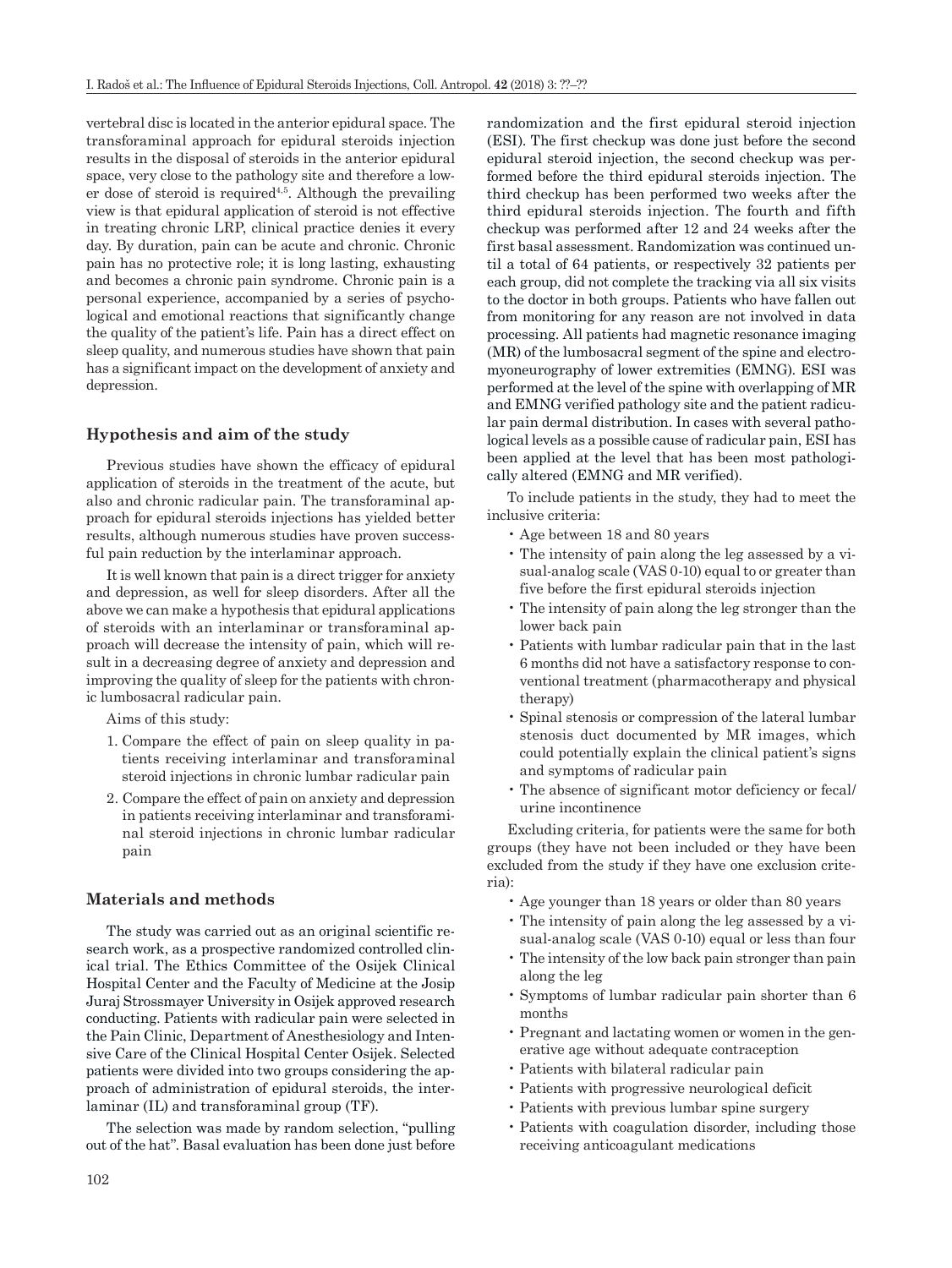vertebral disc is located in the anterior epidural space. The transforaminal approach for epidural steroids injection results in the disposal of steroids in the anterior epidural space, very close to the pathology site and therefore a lower dose of steroid is required<sup>4,5</sup>. Although the prevailing view is that epidural application of steroid is not effective in treating chronic LRP, clinical practice denies it every day. By duration, pain can be acute and chronic. Chronic pain has no protective role; it is long lasting, exhausting and becomes a chronic pain syndrome. Chronic pain is a personal experience, accompanied by a series of psychological and emotional reactions that significantly change the quality of the patient's life. Pain has a direct effect on sleep quality, and numerous studies have shown that pain has a significant impact on the development of anxiety and depression.

#### **Hypothesis and aim of the study**

Previous studies have shown the efficacy of epidural application of steroids in the treatment of the acute, but also and chronic radicular pain. The transforaminal approach for epidural steroids injections has yielded better results, although numerous studies have proven successful pain reduction by the interlaminar approach.

It is well known that pain is a direct trigger for anxiety and depression, as well for sleep disorders. After all the above we can make a hypothesis that epidural applications of steroids with an interlaminar or transforaminal approach will decrease the intensity of pain, which will result in a decreasing degree of anxiety and depression and improving the quality of sleep for the patients with chronic lumbosacral radicular pain.

Aims of this study:

- 1. Compare the effect of pain on sleep quality in patients receiving interlaminar and transforaminal steroid injections in chronic lumbar radicular pain
- 2. Compare the effect of pain on anxiety and depression in patients receiving interlaminar and transforaminal steroid injections in chronic lumbar radicular pain

#### **Materials and methods**

The study was carried out as an original scientific research work, as a prospective randomized controlled clinical trial. The Ethics Committee of the Osijek Clinical Hospital Center and the Faculty of Medicine at the Josip Juraj Strossmayer University in Osijek approved research conducting. Patients with radicular pain were selected in the Pain Clinic, Department of Anesthesiology and Intensive Care of the Clinical Hospital Center Osijek. Selected patients were divided into two groups considering the approach of administration of epidural steroids, the interlaminar (IL) and transforaminal group (TF).

The selection was made by random selection, "pulling out of the hat". Basal evaluation has been done just before randomization and the first epidural steroid injection (ESI). The first checkup was done just before the second epidural steroid injection, the second checkup was performed before the third epidural steroids injection. The third checkup has been performed two weeks after the third epidural steroids injection. The fourth and fifth checkup was performed after 12 and 24 weeks after the first basal assessment. Randomization was continued until a total of 64 patients, or respectively 32 patients per each group, did not complete the tracking via all six visits to the doctor in both groups. Patients who have fallen out from monitoring for any reason are not involved in data processing. All patients had magnetic resonance imaging (MR) of the lumbosacral segment of the spine and electromyoneurography of lower extremities (EMNG). ESI was performed at the level of the spine with overlapping of MR and EMNG verified pathology site and the patient radicular pain dermal distribution. In cases with several pathological levels as a possible cause of radicular pain, ESI has been applied at the level that has been most pathologically altered (EMNG and MR verified).

To include patients in the study, they had to meet the inclusive criteria:

- Age between 18 and 80 years
- The intensity of pain along the leg assessed by a visual-analog scale (VAS 0-10) equal to or greater than five before the first epidural steroids injection
- The intensity of pain along the leg stronger than the lower back pain
- Patients with lumbar radicular pain that in the last 6 months did not have a satisfactory response to conventional treatment (pharmacotherapy and physical therapy)
- Spinal stenosis or compression of the lateral lumbar stenosis duct documented by MR images, which could potentially explain the clinical patient's signs and symptoms of radicular pain
- The absence of significant motor deficiency or fecal/ urine incontinence

Excluding criteria, for patients were the same for both groups (they have not been included or they have been excluded from the study if they have one exclusion criteria):

- Age younger than 18 years or older than 80 years
- The intensity of pain along the leg assessed by a visual-analog scale (VAS 0-10) equal or less than four
- The intensity of the low back pain stronger than pain along the leg
- Symptoms of lumbar radicular pain shorter than 6 months
- Pregnant and lactating women or women in the generative age without adequate contraception
- Patients with bilateral radicular pain
- Patients with progressive neurological deficit
- Patients with previous lumbar spine surgery
- Patients with coagulation disorder, including those receiving anticoagulant medications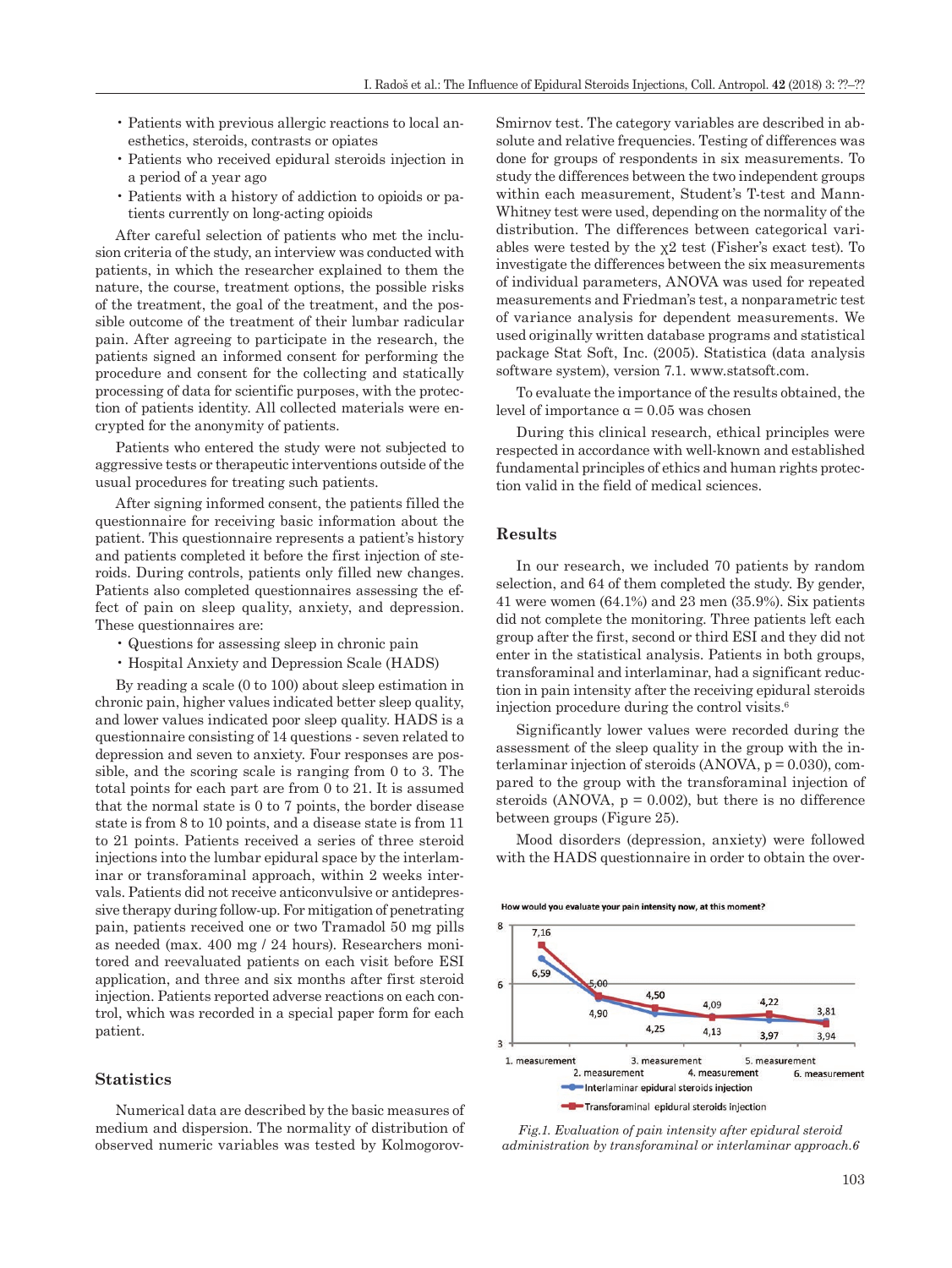- Patients with previous allergic reactions to local anesthetics, steroids, contrasts or opiates
- Patients who received epidural steroids injection in a period of a year ago
- Patients with a history of addiction to opioids or patients currently on long-acting opioids

After careful selection of patients who met the inclusion criteria of the study, an interview was conducted with patients, in which the researcher explained to them the nature, the course, treatment options, the possible risks of the treatment, the goal of the treatment, and the possible outcome of the treatment of their lumbar radicular pain. After agreeing to participate in the research, the patients signed an informed consent for performing the procedure and consent for the collecting and statically processing of data for scientific purposes, with the protection of patients identity. All collected materials were encrypted for the anonymity of patients.

Patients who entered the study were not subjected to aggressive tests or therapeutic interventions outside of the usual procedures for treating such patients.

After signing informed consent, the patients filled the questionnaire for receiving basic information about the patient. This questionnaire represents a patient's history and patients completed it before the first injection of steroids. During controls, patients only filled new changes. Patients also completed questionnaires assessing the effect of pain on sleep quality, anxiety, and depression. These questionnaires are:

- Questions for assessing sleep in chronic pain
- Hospital Anxiety and Depression Scale (HADS)

By reading a scale (0 to 100) about sleep estimation in chronic pain, higher values indicated better sleep quality, and lower values indicated poor sleep quality. HADS is a questionnaire consisting of 14 questions - seven related to depression and seven to anxiety. Four responses are possible, and the scoring scale is ranging from 0 to 3. The total points for each part are from 0 to 21. It is assumed that the normal state is 0 to 7 points, the border disease state is from 8 to 10 points, and a disease state is from 11 to 21 points. Patients received a series of three steroid injections into the lumbar epidural space by the interlaminar or transforaminal approach, within 2 weeks intervals. Patients did not receive anticonvulsive or antidepressive therapy during follow-up. For mitigation of penetrating pain, patients received one or two Tramadol 50 mg pills as needed (max. 400 mg / 24 hours). Researchers monitored and reevaluated patients on each visit before ESI application, and three and six months after first steroid injection. Patients reported adverse reactions on each control, which was recorded in a special paper form for each patient.

## **Statistics**

Numerical data are described by the basic measures of medium and dispersion. The normality of distribution of observed numeric variables was tested by KolmogorovSmirnov test. The category variables are described in absolute and relative frequencies. Testing of differences was done for groups of respondents in six measurements. To study the differences between the two independent groups within each measurement, Student's T-test and Mann-Whitney test were used, depending on the normality of the distribution. The differences between categorical variables were tested by the  $x^2$  test (Fisher's exact test). To investigate the differences between the six measurements of individual parameters, ANOVA was used for repeated measurements and Friedman's test, a nonparametric test of variance analysis for dependent measurements. We used originally written database programs and statistical package Stat Soft, Inc. (2005). Statistica (data analysis software system), version 7.1. www.statsoft.com.

To evaluate the importance of the results obtained, the level of importance  $α = 0.05$  was chosen

During this clinical research, ethical principles were respected in accordance with well-known and established fundamental principles of ethics and human rights protection valid in the field of medical sciences.

#### **Results**

In our research, we included 70 patients by random selection, and 64 of them completed the study. By gender, 41 were women (64.1%) and 23 men (35.9%). Six patients did not complete the monitoring. Three patients left each group after the first, second or third ESI and they did not enter in the statistical analysis. Patients in both groups, transforaminal and interlaminar, had a significant reduction in pain intensity after the receiving epidural steroids injection procedure during the control visits.6

Significantly lower values were recorded during the assessment of the sleep quality in the group with the interlaminar injection of steroids  $(ANOVA, p = 0.030)$ , compared to the group with the transforaminal injection of steroids (ANOVA,  $p = 0.002$ ), but there is no difference between groups (Figure 25).

Mood disorders (depression, anxiety) were followed with the HADS questionnaire in order to obtain the over-

How would you evaluate your pain intensity now, at this moment?



*Fig.1. Evaluation of pain intensity after epidural steroid administration by transforaminal or interlaminar approach.6*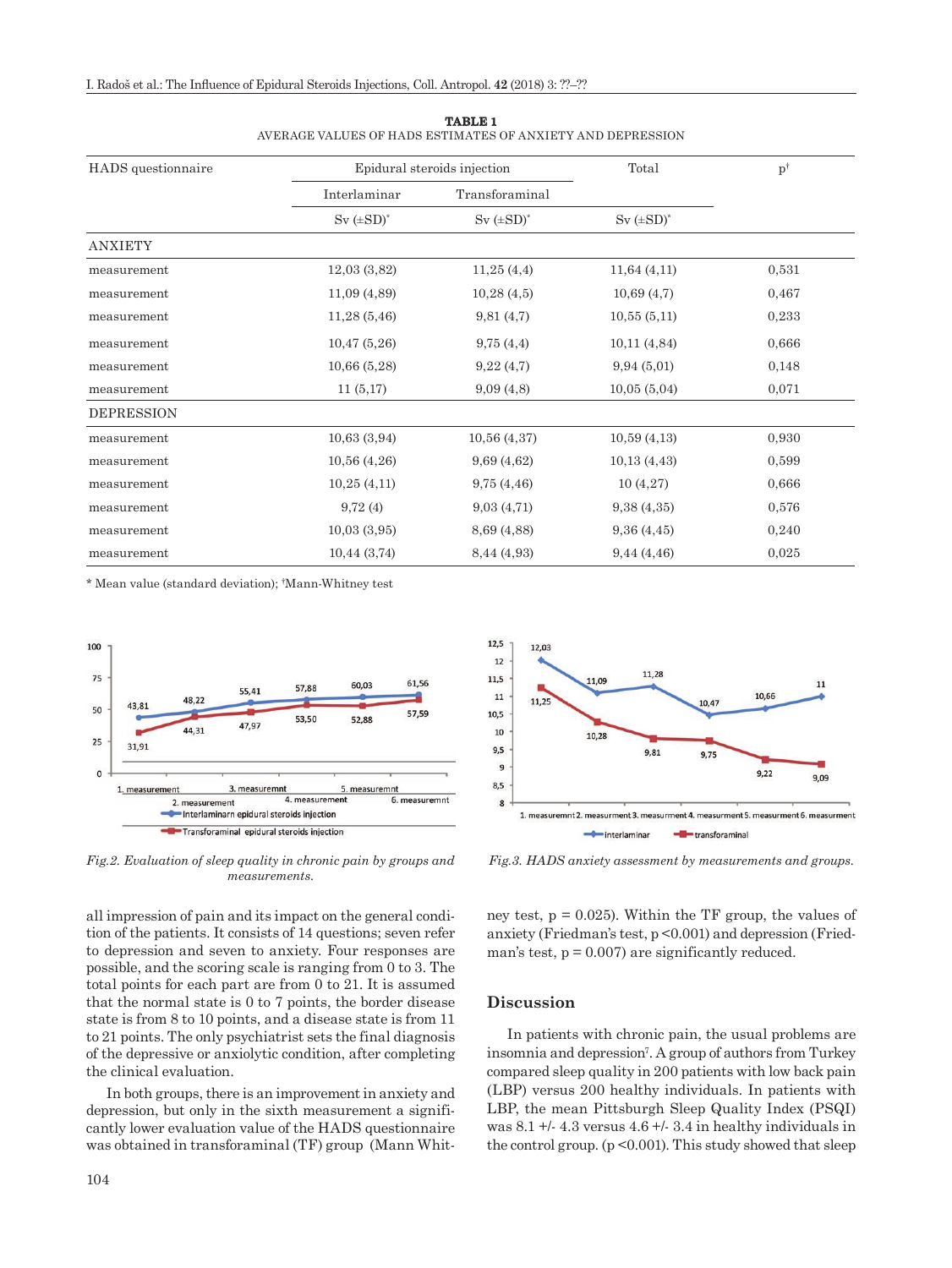| HADS questionnaire | Epidural steroids injection        |                                      | Total              | $p^{\dagger}$ |
|--------------------|------------------------------------|--------------------------------------|--------------------|---------------|
|                    | Interlaminar<br>$Sv$ ( $\pm SD$ )* | Transforaminal<br>$Sv$ ( $\pm SD$ )* | $Sv$ ( $\pm SD$ )* |               |
|                    |                                    |                                      |                    |               |
| measurement        | 12,03(3,82)                        | 11,25(4,4)                           | 11,64(4,11)        | 0,531         |
| measurement        | 11,09(4,89)                        | 10,28(4,5)                           | 10,69(4,7)         | 0,467         |
| measurement        | 11,28(5,46)                        | 9,81(4,7)                            | 10,55(5,11)        | 0,233         |
| measurement        | 10,47(5,26)                        | 9,75(4,4)                            | 10,11(4,84)        | 0,666         |
| measurement        | 10,66(5,28)                        | 9,22(4,7)                            | 9,94(5,01)         | 0,148         |
| measurement        | 11(5,17)                           | 9,09(4,8)                            | 10,05(5,04)        | 0,071         |
| <b>DEPRESSION</b>  |                                    |                                      |                    |               |
| measurement        | 10,63(3,94)                        | 10,56(4,37)                          | 10,59(4,13)        | 0,930         |
| measurement        | 10,56(4,26)                        | 9,69(4,62)                           | 10,13(4,43)        | 0,599         |
| measurement        | 10,25(4,11)                        | 9,75(4,46)                           | 10(4,27)           | 0,666         |
| measurement        | 9,72(4)                            | 9,03(4,71)                           | 9,38(4,35)         | 0,576         |
| measurement        | 10,03(3,95)                        | 8,69 (4,88)                          | 9,36(4,45)         | 0,240         |
| measurement        | 10,44(3,74)                        | 8,44 (4,93)                          | 9,44(4,46)         | 0,025         |

**TABLE 1** AVERAGE VALUES OF HADS ESTIMATES OF ANXIETY AND DEPRESSION

\* Mean value (standard deviation); † Mann-Whitney test



*Fig.2. Evaluation of sleep quality in chronic pain by groups and measurements.*

all impression of pain and its impact on the general condition of the patients. It consists of 14 questions; seven refer to depression and seven to anxiety. Four responses are possible, and the scoring scale is ranging from 0 to 3. The total points for each part are from 0 to 21. It is assumed that the normal state is 0 to 7 points, the border disease state is from 8 to 10 points, and a disease state is from 11 to 21 points. The only psychiatrist sets the final diagnosis of the depressive or anxiolytic condition, after completing the clinical evaluation.

In both groups, there is an improvement in anxiety and depression, but only in the sixth measurement a significantly lower evaluation value of the HADS questionnaire was obtained in transforaminal (TF) group (Mann Whit-



*Fig.3. HADS anxiety assessment by measurements and groups.*

ney test,  $p = 0.025$ ). Within the TF group, the values of anxiety (Friedman's test, p <0.001) and depression (Friedman's test,  $p = 0.007$ ) are significantly reduced.

#### **Discussion**

In patients with chronic pain, the usual problems are insomnia and depression<sup>7</sup>. A group of authors from Turkey compared sleep quality in 200 patients with low back pain (LBP) versus 200 healthy individuals. In patients with LBP, the mean Pittsburgh Sleep Quality Index (PSQI) was  $8.1 +$ /- 4.3 versus  $4.6 +$ /- 3.4 in healthy individuals in the control group.  $(p \le 0.001)$ . This study showed that sleep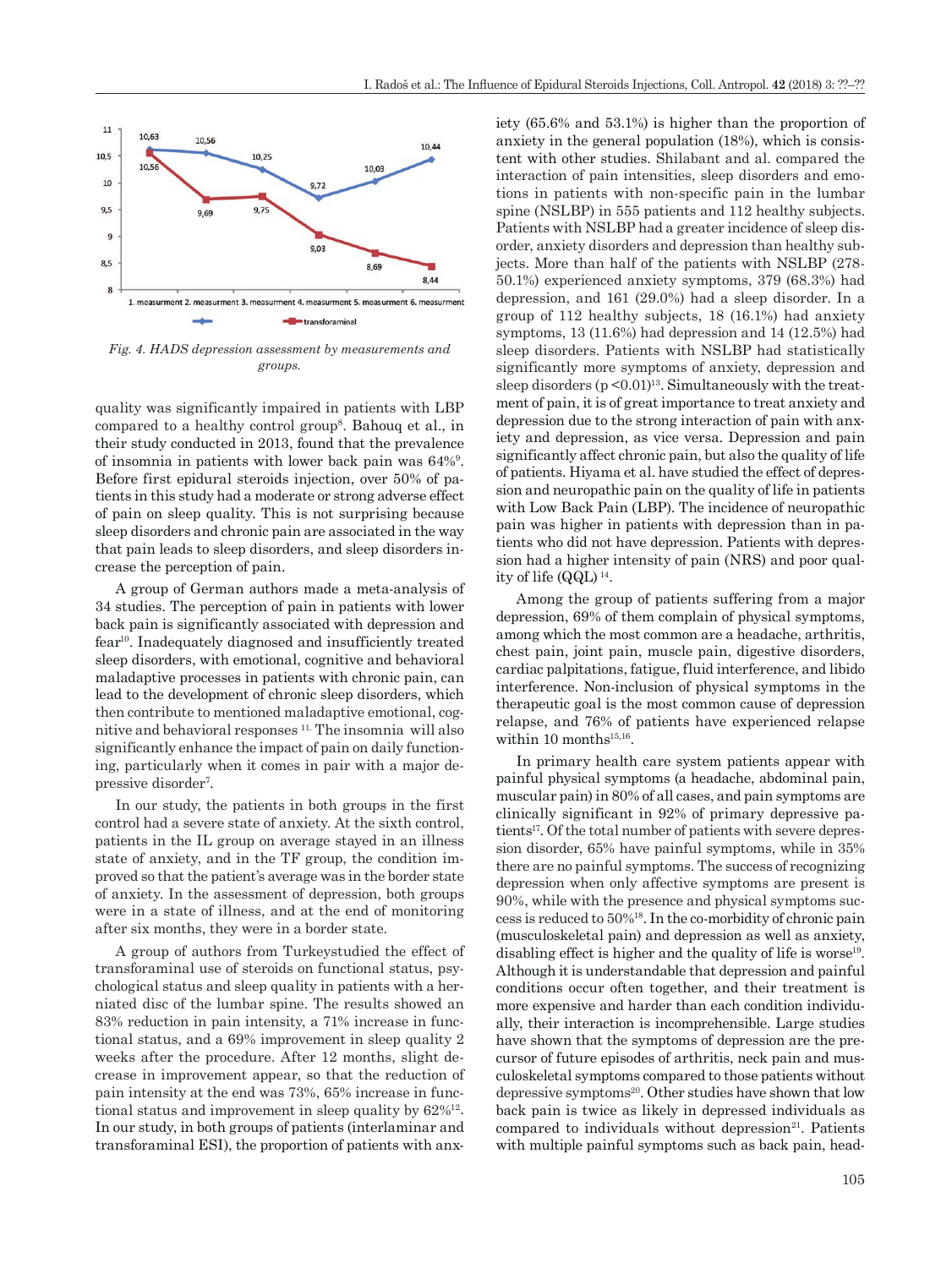

*Fig. 4. HADS depression assessment by measurements and groups.*

quality was significantly impaired in patients with LBP compared to a healthy control group8. Bahouq et al., in their study conducted in 2013, found that the prevalence of insomnia in patients with lower back pain was 64%9 . Before first epidural steroids injection, over 50% of patients in this study had a moderate or strong adverse effect of pain on sleep quality. This is not surprising because sleep disorders and chronic pain are associated in the way that pain leads to sleep disorders, and sleep disorders increase the perception of pain.

A group of German authors made a meta-analysis of 34 studies. The perception of pain in patients with lower back pain is significantly associated with depression and fear10. Inadequately diagnosed and insufficiently treated sleep disorders, with emotional, cognitive and behavioral maladaptive processes in patients with chronic pain, can lead to the development of chronic sleep disorders, which then contribute to mentioned maladaptive emotional, cognitive and behavioral responses 11. The insomnia will also significantly enhance the impact of pain on daily functioning, particularly when it comes in pair with a major depressive disorder<sup>7</sup>.

In our study, the patients in both groups in the first control had a severe state of anxiety. At the sixth control, patients in the IL group on average stayed in an illness state of anxiety, and in the TF group, the condition improved so that the patient's average was in the border state of anxiety. In the assessment of depression, both groups were in a state of illness, and at the end of monitoring after six months, they were in a border state.

A group of authors from Turkeystudied the effect of transforaminal use of steroids on functional status, psychological status and sleep quality in patients with a herniated disc of the lumbar spine. The results showed an 83% reduction in pain intensity, a 71% increase in functional status, and a 69% improvement in sleep quality 2 weeks after the procedure. After 12 months, slight decrease in improvement appear, so that the reduction of pain intensity at the end was 73%, 65% increase in functional status and improvement in sleep quality by 62%12. In our study, in both groups of patients (interlaminar and transforaminal ESI), the proportion of patients with anxiety (65.6% and 53.1%) is higher than the proportion of anxiety in the general population (18%), which is consistent with other studies. Shilabant and al. compared the interaction of pain intensities, sleep disorders and emotions in patients with non-specific pain in the lumbar spine (NSLBP) in 555 patients and 112 healthy subjects. Patients with NSLBP had a greater incidence of sleep disorder, anxiety disorders and depression than healthy subjects. More than half of the patients with NSLBP (278- 50.1%) experienced anxiety symptoms, 379 (68.3%) had depression, and 161 (29.0%) had a sleep disorder. In a group of 112 healthy subjects, 18 (16.1%) had anxiety symptoms, 13 (11.6%) had depression and 14 (12.5%) had sleep disorders. Patients with NSLBP had statistically significantly more symptoms of anxiety, depression and sleep disorders  $(p < 0.01)^{13}$ . Simultaneously with the treatment of pain, it is of great importance to treat anxiety and depression due to the strong interaction of pain with anxiety and depression, as vice versa. Depression and pain significantly affect chronic pain, but also the quality of life of patients. Hiyama et al. have studied the effect of depression and neuropathic pain on the quality of life in patients with Low Back Pain (LBP). The incidence of neuropathic pain was higher in patients with depression than in patients who did not have depression. Patients with depression had a higher intensity of pain (NRS) and poor quality of life (QQL) 14.

Among the group of patients suffering from a major depression, 69% of them complain of physical symptoms, among which the most common are a headache, arthritis, chest pain, joint pain, muscle pain, digestive disorders, cardiac palpitations, fatigue, fluid interference, and libido interference. Non-inclusion of physical symptoms in the therapeutic goal is the most common cause of depression relapse, and 76% of patients have experienced relapse within 10 months $15,16$ .

In primary health care system patients appear with painful physical symptoms (a headache, abdominal pain, muscular pain) in 80% of all cases, and pain symptoms are clinically significant in 92% of primary depressive patients<sup>17</sup>. Of the total number of patients with severe depression disorder, 65% have painful symptoms, while in 35% there are no painful symptoms. The success of recognizing depression when only affective symptoms are present is 90%, while with the presence and physical symptoms success is reduced to 50%18. In the co-morbidity of chronic pain (musculoskeletal pain) and depression as well as anxiety, disabling effect is higher and the quality of life is worse $19$ . Although it is understandable that depression and painful conditions occur often together, and their treatment is more expensive and harder than each condition individually, their interaction is incomprehensible. Large studies have shown that the symptoms of depression are the precursor of future episodes of arthritis, neck pain and musculoskeletal symptoms compared to those patients without depressive symptoms20. Other studies have shown that low back pain is twice as likely in depressed individuals as compared to individuals without depression $21$ . Patients with multiple painful symptoms such as back pain, head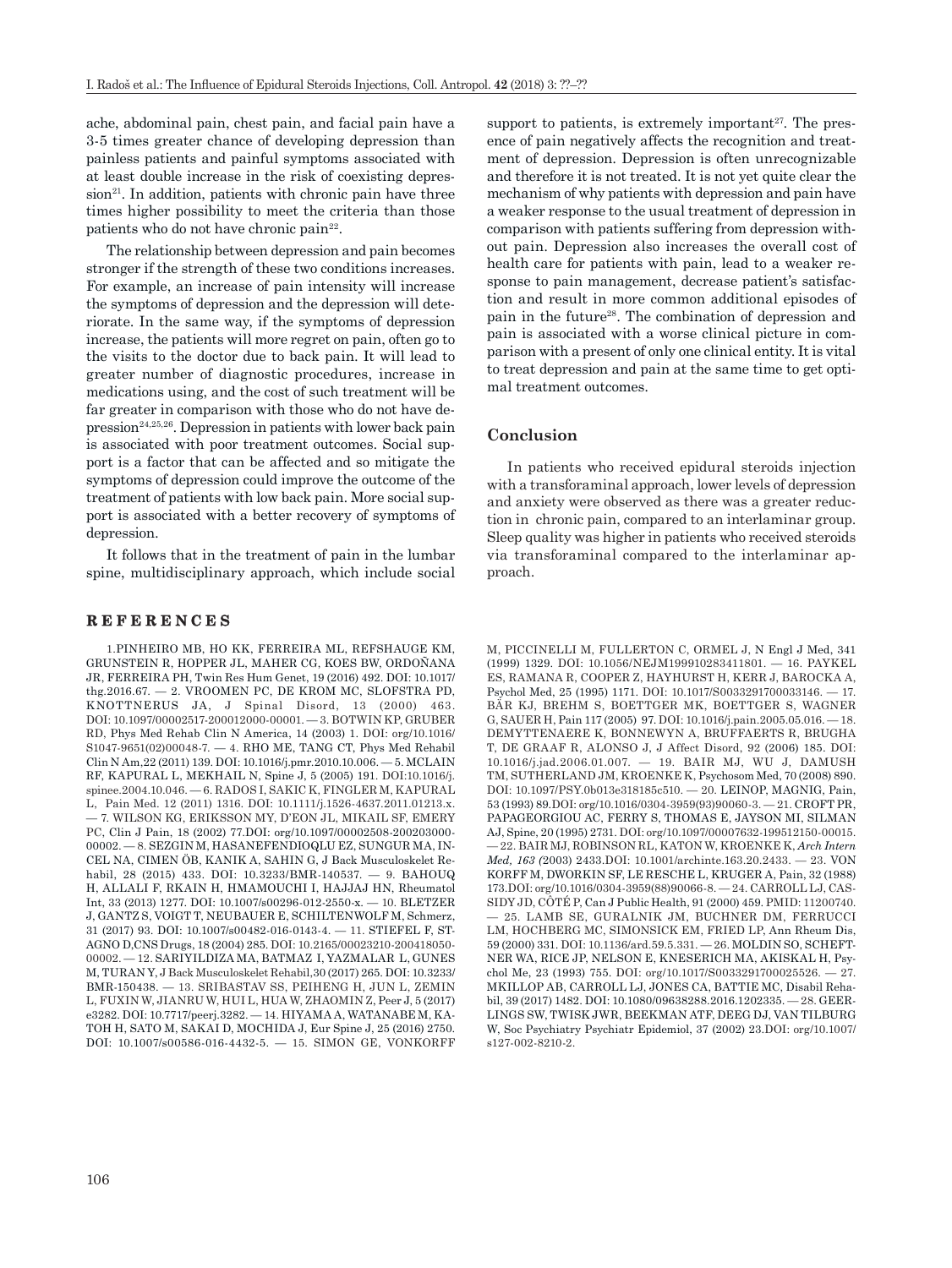ache, abdominal pain, chest pain, and facial pain have a 3-5 times greater chance of developing depression than painless patients and painful symptoms associated with at least double increase in the risk of coexisting depres $sion<sup>21</sup>$ . In addition, patients with chronic pain have three times higher possibility to meet the criteria than those patients who do not have chronic pain<sup>22</sup>.

The relationship between depression and pain becomes stronger if the strength of these two conditions increases. For example, an increase of pain intensity will increase the symptoms of depression and the depression will deteriorate. In the same way, if the symptoms of depression increase, the patients will more regret on pain, often go to the visits to the doctor due to back pain. It will lead to greater number of diagnostic procedures, increase in medications using, and the cost of such treatment will be far greater in comparison with those who do not have de $presion<sup>24,25,26</sup>$ . Depression in patients with lower back pain is associated with poor treatment outcomes. Social support is a factor that can be affected and so mitigate the symptoms of depression could improve the outcome of the treatment of patients with low back pain. More social support is associated with a better recovery of symptoms of depression.

It follows that in the treatment of pain in the lumbar spine, multidisciplinary approach, which include social

#### **REFERENCES**

1.[PINHEIRO MB](https://www.ncbi.nlm.nih.gov/pubmed/?term=Pinheiro%20MB%5BAuthor%5D&cauthor=true&cauthor_uid=27571889), [HO KK,](https://www.ncbi.nlm.nih.gov/pubmed/?term=Ho%20KK%5BAuthor%5D&cauthor=true&cauthor_uid=27571889) [FERREIRA ML,](https://www.ncbi.nlm.nih.gov/pubmed/?term=Ferreira%20ML%5BAuthor%5D&cauthor=true&cauthor_uid=27571889) [REFSHAUGE KM,](https://www.ncbi.nlm.nih.gov/pubmed/?term=Refshauge%20KM%5BAuthor%5D&cauthor=true&cauthor_uid=27571889) [GRUNSTEIN R,](https://www.ncbi.nlm.nih.gov/pubmed/?term=Grunstein%20R%5BAuthor%5D&cauthor=true&cauthor_uid=27571889) [HOPPER JL](https://www.ncbi.nlm.nih.gov/pubmed/?term=Hopper%20JL%5BAuthor%5D&cauthor=true&cauthor_uid=27571889), [MAHER CG,](https://www.ncbi.nlm.nih.gov/pubmed/?term=Maher%20CG%5BAuthor%5D&cauthor=true&cauthor_uid=27571889) [KOES BW](https://www.ncbi.nlm.nih.gov/pubmed/?term=Koes%20BW%5BAuthor%5D&cauthor=true&cauthor_uid=27571889), [ORDOÑANA](https://www.ncbi.nlm.nih.gov/pubmed/?term=Ordo%C3%B1ana%20JR%5BAuthor%5D&cauthor=true&cauthor_uid=27571889)  [JR](https://www.ncbi.nlm.nih.gov/pubmed/?term=Ordo%C3%B1ana%20JR%5BAuthor%5D&cauthor=true&cauthor_uid=27571889), [FERREIRA PH](https://www.ncbi.nlm.nih.gov/pubmed/?term=Ferreira%20PH%5BAuthor%5D&cauthor=true&cauthor_uid=27571889), Twin Res Hum Genet, 19 (2016) 492. DOI: 10.1017/ thg.2016.67. — 2. VROOMEN PC, DE KROM MC, SLOFSTRA PD, KNOTTNERUS JA, J Spinal Disord, 13 (2000) 463. DOI: [10.1097/00002517-200012000-00001.](http://dx.doi.org/10.1097/00002517-200012000-00001) — 3. [BOTWIN KP](https://www.ncbi.nlm.nih.gov/pubmed/?term=Botwin%20KP%5BAuthor%5D&cauthor=true&cauthor_uid=12622487), [GRUBER](https://www.ncbi.nlm.nih.gov/pubmed/?term=Gruber%20RD%5BAuthor%5D&cauthor=true&cauthor_uid=12622487)  [RD,](https://www.ncbi.nlm.nih.gov/pubmed/?term=Gruber%20RD%5BAuthor%5D&cauthor=true&cauthor_uid=12622487) Phys Med Rehab Clin N America, 14 (2003) 1. [DOI: org/10.1016/](http://dx.doi.org/10.1016/S1047-9651(02)00048-7) [S1047-9651\(02\)00048-7.](http://dx.doi.org/10.1016/S1047-9651(02)00048-7) — 4. [RHO ME](http://www.ncbi.nlm.nih.gov/pubmed?term=%22Rho%20ME%22%5BAuthor%5D), [TANG CT,](http://www.ncbi.nlm.nih.gov/pubmed?term=%22Tang%20CT%22%5BAuthor%5D) Phys Med Rehabil Clin N Am,22 (2011) 139. DOI: 10.1016/j.pmr.2010.10.006. — 5. MCLAIN RF, KAPURAL L, MEKHAIL N, Spine J, 5 (2005) 191. DOI:[10.1016/j.](https://doi.org/10.1016/j.spinee.2004.10.046) [spinee.2004.10.046.](https://doi.org/10.1016/j.spinee.2004.10.046) — 6. RADOS I, SAKIC K, FINGLER M, KAPURAL L, Pain Med. 12 (2011) 1316. DOI: 10.1111/j.1526-4637.2011.01213.x. — 7. [WILSON KG](https://www.ncbi.nlm.nih.gov/pubmed/?term=Wilson%20KG%5BAuthor%5D&cauthor=true&cauthor_uid=11882770), [ERIKSSON MY](https://www.ncbi.nlm.nih.gov/pubmed/?term=Eriksson%20MY%5BAuthor%5D&cauthor=true&cauthor_uid=11882770), [D'EON JL,](https://www.ncbi.nlm.nih.gov/pubmed/?term=D%27Eon%20JL%5BAuthor%5D&cauthor=true&cauthor_uid=11882770) [MIKAIL SF,](https://www.ncbi.nlm.nih.gov/pubmed/?term=Mikail%20SF%5BAuthor%5D&cauthor=true&cauthor_uid=11882770) [EMERY](https://www.ncbi.nlm.nih.gov/pubmed/?term=Emery%20PC%5BAuthor%5D&cauthor=true&cauthor_uid=11882770)  [PC,](https://www.ncbi.nlm.nih.gov/pubmed/?term=Emery%20PC%5BAuthor%5D&cauthor=true&cauthor_uid=11882770) Clin J Pain, 18 (2002) 77.DOI: org/10.1097/00002508-200203000- 00002. — 8. [SEZGIN M](https://www.ncbi.nlm.nih.gov/pubmed/?term=Sezgin%20M%5BAuthor%5D&cauthor=true&cauthor_uid=25322735), [HASANEFENDIOQLU EZ](https://www.ncbi.nlm.nih.gov/pubmed/?term=Hasanefendio%C4%9Flu%20EZ%5BAuthor%5D&cauthor=true&cauthor_uid=25322735), [SUNGUR MA](https://www.ncbi.nlm.nih.gov/pubmed/?term=Sungur%20MA%5BAuthor%5D&cauthor=true&cauthor_uid=25322735), [IN-](https://www.ncbi.nlm.nih.gov/pubmed/?term=Incel%20NA%5BAuthor%5D&cauthor=true&cauthor_uid=25322735)[CEL NA,](https://www.ncbi.nlm.nih.gov/pubmed/?term=Incel%20NA%5BAuthor%5D&cauthor=true&cauthor_uid=25322735) [CIMEN ÖB](https://www.ncbi.nlm.nih.gov/pubmed/?term=%C3%87imen%20%C3%96B%5BAuthor%5D&cauthor=true&cauthor_uid=25322735), [KANIK A](https://www.ncbi.nlm.nih.gov/pubmed/?term=Kan%C4%B1k%20A%5BAuthor%5D&cauthor=true&cauthor_uid=25322735), [SAHIN G,](https://www.ncbi.nlm.nih.gov/pubmed/?term=%C5%9Eahin%20G%5BAuthor%5D&cauthor=true&cauthor_uid=25322735) J Back Musculoskelet Rehabil, 28 (2015) 433. DOI: 10.3233/BMR-140537. — 9. [BAHOUQ](https://www.ncbi.nlm.nih.gov/pubmed/?term=Bahouq%20H%5BAuthor%5D&cauthor=true&cauthor_uid=23124732)  [H,](https://www.ncbi.nlm.nih.gov/pubmed/?term=Bahouq%20H%5BAuthor%5D&cauthor=true&cauthor_uid=23124732) [ALLALI F,](https://www.ncbi.nlm.nih.gov/pubmed/?term=Allali%20F%5BAuthor%5D&cauthor=true&cauthor_uid=23124732) [RKAIN H,](https://www.ncbi.nlm.nih.gov/pubmed/?term=Rkain%20H%5BAuthor%5D&cauthor=true&cauthor_uid=23124732) [HMAMOUCHI I,](https://www.ncbi.nlm.nih.gov/pubmed/?term=Hmamouchi%20I%5BAuthor%5D&cauthor=true&cauthor_uid=23124732) [HAJJAJ HN,](https://www.ncbi.nlm.nih.gov/pubmed/?term=Hajjaj-Hassouni%20N%5BAuthor%5D&cauthor=true&cauthor_uid=23124732) Rheumatol Int, 33 (2013) 1277. DOI: 10.1007/s00296-012-2550-x. — 10. [BLETZER](https://www.ncbi.nlm.nih.gov/pubmed/?term=Bletzer%20J%5BAuthor%5D&cauthor=true&cauthor_uid=27501800)  [J,](https://www.ncbi.nlm.nih.gov/pubmed/?term=Bletzer%20J%5BAuthor%5D&cauthor=true&cauthor_uid=27501800) [GANTZ S](https://www.ncbi.nlm.nih.gov/pubmed/?term=Gantz%20S%5BAuthor%5D&cauthor=true&cauthor_uid=27501800), [VOIGT T,](https://www.ncbi.nlm.nih.gov/pubmed/?term=Voigt%20T%5BAuthor%5D&cauthor=true&cauthor_uid=27501800) [NEUBAUER E,](https://www.ncbi.nlm.nih.gov/pubmed/?term=Neubauer%20E%5BAuthor%5D&cauthor=true&cauthor_uid=27501800) [SCHILTENWOLF M](https://www.ncbi.nlm.nih.gov/pubmed/?term=Schiltenwolf%20M%5BAuthor%5D&cauthor=true&cauthor_uid=27501800), Schmerz, 31 (2017) 93. DOI: 10.1007/s00482-016-0143-4. — 11. STIEFEL F, ST-AGNO D,CNS Drugs, 18 (2004) 285. DOI: [10.2165/00023210-200418050-](https://doi.org/10.2165/00023210-200418050-00002) [00002](https://doi.org/10.2165/00023210-200418050-00002). — 12. SARIYILDIZA MA, BATMAZ I, YAZMALAR L, GUNES M, TURAN Y, [J Back Musculoskelet Rehabil,3](https://www.ncbi.nlm.nih.gov/pubmed/?term=SARIYILDIZA+MA%2C+BATMAZ++I%2C+YAZMALAR++L%2C+GUNES+M%2C+TURAN+Y%2C+Journal+of+Back+and+Musculoskeletal+Rehabilitation+30+(2017)+265%E2%80%9370.+DOI%3A+10.3233%2FBMR-150438.)0 (2017) 265. DOI: 10.3233/ BMR-150438. — 13. [SRIBASTAV SS](https://www.ncbi.nlm.nih.gov/pubmed/?term=Sribastav%20SS%5BAuthor%5D&cauthor=true&cauthor_uid=28533953), [PEIHENG H,](https://www.ncbi.nlm.nih.gov/pubmed/?term=Peiheng%20H%5BAuthor%5D&cauthor=true&cauthor_uid=28533953) [JUN L,](https://www.ncbi.nlm.nih.gov/pubmed/?term=Jun%20L%5BAuthor%5D&cauthor=true&cauthor_uid=28533953) [ZEMIN](https://www.ncbi.nlm.nih.gov/pubmed/?term=Zemin%20L%5BAuthor%5D&cauthor=true&cauthor_uid=28533953)  [L,](https://www.ncbi.nlm.nih.gov/pubmed/?term=Zemin%20L%5BAuthor%5D&cauthor=true&cauthor_uid=28533953) [FUXIN W,](https://www.ncbi.nlm.nih.gov/pubmed/?term=Fuxin%20W%5BAuthor%5D&cauthor=true&cauthor_uid=28533953) [JIANRU W](https://www.ncbi.nlm.nih.gov/pubmed/?term=Jianru%20W%5BAuthor%5D&cauthor=true&cauthor_uid=28533953), [HUI L,](https://www.ncbi.nlm.nih.gov/pubmed/?term=Hui%20L%5BAuthor%5D&cauthor=true&cauthor_uid=28533953) [HUA W,](https://www.ncbi.nlm.nih.gov/pubmed/?term=Hua%20W%5BAuthor%5D&cauthor=true&cauthor_uid=28533953) [ZHAOMIN Z](https://www.ncbi.nlm.nih.gov/pubmed/?term=Zhaomin%20Z%5BAuthor%5D&cauthor=true&cauthor_uid=28533953), [Peer J](https://www.ncbi.nlm.nih.gov/pmc/articles/PMC5436560/), 5 (2017) e3282. DOI: [10.7717/peerj.3282.](https://dx.doi.org/10.7717%2Fpeerj.3282) — 14. [HIYAMA A](https://www.ncbi.nlm.nih.gov/pubmed/?term=Hiyama%20A%5BAuthor%5D&cauthor=true&cauthor_uid=26874952), [WATANABE M](https://www.ncbi.nlm.nih.gov/pubmed/?term=Watanabe%20M%5BAuthor%5D&cauthor=true&cauthor_uid=26874952), [KA-](https://www.ncbi.nlm.nih.gov/pubmed/?term=Katoh%20H%5BAuthor%5D&cauthor=true&cauthor_uid=26874952)[TOH H,](https://www.ncbi.nlm.nih.gov/pubmed/?term=Katoh%20H%5BAuthor%5D&cauthor=true&cauthor_uid=26874952) [SATO M,](https://www.ncbi.nlm.nih.gov/pubmed/?term=Sato%20M%5BAuthor%5D&cauthor=true&cauthor_uid=26874952) [SAKAI D,](https://www.ncbi.nlm.nih.gov/pubmed/?term=Sakai%20D%5BAuthor%5D&cauthor=true&cauthor_uid=26874952) [MOCHIDA J](https://www.ncbi.nlm.nih.gov/pubmed/?term=Mochida%20J%5BAuthor%5D&cauthor=true&cauthor_uid=26874952), Eur Spine J, 25 (2016) 2750. DOI: 10.1007/s00586-016-4432-5. — 15. [SIMON GE,](https://www.ncbi.nlm.nih.gov/pubmed/?term=Simon%20GE%5BAuthor%5D&cauthor=true&cauthor_uid=10536124) [VONKORFF](https://www.ncbi.nlm.nih.gov/pubmed/?term=VonKorff%20M%5BAuthor%5D&cauthor=true&cauthor_uid=10536124) 

support to patients, is extremely important<sup>27</sup>. The presence of pain negatively affects the recognition and treatment of depression. Depression is often unrecognizable and therefore it is not treated. It is not yet quite clear the mechanism of why patients with depression and pain have a weaker response to the usual treatment of depression in comparison with patients suffering from depression without pain. Depression also increases the overall cost of health care for patients with pain, lead to a weaker response to pain management, decrease patient's satisfaction and result in more common additional episodes of pain in the future28. The combination of depression and pain is associated with a worse clinical picture in comparison with a present of only one clinical entity. It is vital to treat depression and pain at the same time to get optimal treatment outcomes.

#### **Conclusion**

In patients who received epidural steroids injection with a transforaminal approach, lower levels of depression and anxiety were observed as there was a greater reduction in chronic pain, compared to an interlaminar group. Sleep quality was higher in patients who received steroids via transforaminal compared to the interlaminar approach.

[M,](https://www.ncbi.nlm.nih.gov/pubmed/?term=VonKorff%20M%5BAuthor%5D&cauthor=true&cauthor_uid=10536124) [PICCINELLI M](https://www.ncbi.nlm.nih.gov/pubmed/?term=Piccinelli%20M%5BAuthor%5D&cauthor=true&cauthor_uid=10536124), [FULLERTON C,](https://www.ncbi.nlm.nih.gov/pubmed/?term=Fullerton%20C%5BAuthor%5D&cauthor=true&cauthor_uid=10536124) [ORMEL J](https://www.ncbi.nlm.nih.gov/pubmed/?term=Ormel%20J%5BAuthor%5D&cauthor=true&cauthor_uid=10536124), N Engl J Med, 341 (1999) 1329. DOI: [10.1056/NEJM199910283411801.](https://doi.org/10.1056/NEJM199910283411801) — 16. [PAYKEL](https://www.ncbi.nlm.nih.gov/pubmed/?term=Paykel%20ES%5BAuthor%5D&cauthor=true&cauthor_uid=8637947)  [ES,](https://www.ncbi.nlm.nih.gov/pubmed/?term=Paykel%20ES%5BAuthor%5D&cauthor=true&cauthor_uid=8637947) [RAMANA R,](https://www.ncbi.nlm.nih.gov/pubmed/?term=Ramana%20R%5BAuthor%5D&cauthor=true&cauthor_uid=8637947) [COOPER Z,](https://www.ncbi.nlm.nih.gov/pubmed/?term=Cooper%20Z%5BAuthor%5D&cauthor=true&cauthor_uid=8637947) [HAYHURST H,](https://www.ncbi.nlm.nih.gov/pubmed/?term=Hayhurst%20H%5BAuthor%5D&cauthor=true&cauthor_uid=8637947) [KERR J,](https://www.ncbi.nlm.nih.gov/pubmed/?term=Kerr%20J%5BAuthor%5D&cauthor=true&cauthor_uid=8637947) [BAROCKA A,](https://www.ncbi.nlm.nih.gov/pubmed/?term=Barocka%20A%5BAuthor%5D&cauthor=true&cauthor_uid=8637947) Psychol Med, 25 (1995) 1171. DOI: [10.1017/S0033291700033146](http://dx.doi.org/10.1017/S0033291700033146). — 17. [BÄR KJ](https://www.ncbi.nlm.nih.gov/pubmed/?term=B%C3%A4r%20KJ%5BAuthor%5D&cauthor=true&cauthor_uid=16061323), [BREHM S,](https://www.ncbi.nlm.nih.gov/pubmed/?term=Brehm%20S%5BAuthor%5D&cauthor=true&cauthor_uid=16061323) [BOETTGER MK,](https://www.ncbi.nlm.nih.gov/pubmed/?term=Boettger%20MK%5BAuthor%5D&cauthor=true&cauthor_uid=16061323) [BOETTGER S,](https://www.ncbi.nlm.nih.gov/pubmed/?term=Boettger%20S%5BAuthor%5D&cauthor=true&cauthor_uid=16061323) [WAGNER](https://www.ncbi.nlm.nih.gov/pubmed/?term=Wagner%20G%5BAuthor%5D&cauthor=true&cauthor_uid=16061323)  [G](https://www.ncbi.nlm.nih.gov/pubmed/?term=Wagner%20G%5BAuthor%5D&cauthor=true&cauthor_uid=16061323), [SAUER H](https://www.ncbi.nlm.nih.gov/pubmed/?term=Sauer%20H%5BAuthor%5D&cauthor=true&cauthor_uid=16061323), Pain 117 (2005) 97. DOI: [10.1016/j.pain.2005.05.016](https://doi.org/10.1016/j.pain.2005.05.016). — 18. [DEMYTTENAERE K,](https://www.ncbi.nlm.nih.gov/pubmed/?term=Demyttenaere%20K%5BAuthor%5D&cauthor=true&cauthor_uid=16516977) [BONNEWYN A](https://www.ncbi.nlm.nih.gov/pubmed/?term=Bonnewyn%20A%5BAuthor%5D&cauthor=true&cauthor_uid=16516977), [BRUFFAERTS R,](https://www.ncbi.nlm.nih.gov/pubmed/?term=Bruffaerts%20R%5BAuthor%5D&cauthor=true&cauthor_uid=16516977) [BRUGHA](https://www.ncbi.nlm.nih.gov/pubmed/?term=Brugha%20T%5BAuthor%5D&cauthor=true&cauthor_uid=16516977)  [T](https://www.ncbi.nlm.nih.gov/pubmed/?term=Brugha%20T%5BAuthor%5D&cauthor=true&cauthor_uid=16516977), [DE GRAAF R,](https://www.ncbi.nlm.nih.gov/pubmed/?term=De%20Graaf%20R%5BAuthor%5D&cauthor=true&cauthor_uid=16516977) [ALONSO J](https://www.ncbi.nlm.nih.gov/pubmed/?term=Alonso%20J%5BAuthor%5D&cauthor=true&cauthor_uid=16516977), [J Affect Disord,](https://www.ncbi.nlm.nih.gov/pubmed/?term=Demyttenaere+K%2C+et+al.+Comorbid+painful+physical+symptoms+and+depression%3A+Prevalence%2C+work+loss%2C+and+help+seeking.+Journal+of+Affective+Disorder+2006) 92 (2006) 185. DOI: [10.1016/j.jad.2006.01.007.](https://doi.org/10.1016/j.jad.2006.01.007) — 19. [BAIR MJ,](https://www.ncbi.nlm.nih.gov/pubmed/?term=Bair%20MJ%5BAuthor%5D&cauthor=true&cauthor_uid=18799425) [WU J,](https://www.ncbi.nlm.nih.gov/pubmed/?term=Wu%20J%5BAuthor%5D&cauthor=true&cauthor_uid=18799425) [DAMUSH](https://www.ncbi.nlm.nih.gov/pubmed/?term=Damush%20TM%5BAuthor%5D&cauthor=true&cauthor_uid=18799425)  [TM](https://www.ncbi.nlm.nih.gov/pubmed/?term=Damush%20TM%5BAuthor%5D&cauthor=true&cauthor_uid=18799425), [SUTHERLAND JM](https://www.ncbi.nlm.nih.gov/pubmed/?term=Sutherland%20JM%5BAuthor%5D&cauthor=true&cauthor_uid=18799425), [KROENKE K,](https://www.ncbi.nlm.nih.gov/pubmed/?term=Kroenke%20K%5BAuthor%5D&cauthor=true&cauthor_uid=18799425) Psychosom Med, 70 (2008) 890. DOI: 10.1097/PSY.0b013e318185c510. — 20. LEINOP, MAGNIG, Pain, 53 (1993) 89[.DOI: org/10.1016/0304-3959\(93\)90060-3.](https://doi.org/10.1016/0304-3959(93)90060-3) — 21. CROFT PR, PAPAGEORGIOU AC, FERRY S, THOMAS E, JAYSON MI, SILMAN AJ, Spine, 20 (1995) 2731. [DOI: org/10.1097/00007632-199512150-00015.](http://dx.doi.org/10.1097/00007632-199512150-00015) — 22. [BAIR MJ,](https://www.ncbi.nlm.nih.gov/pubmed/?term=Bair%20MJ%5BAuthor%5D&cauthor=true&cauthor_uid=14609780) [ROBINSON RL,](https://www.ncbi.nlm.nih.gov/pubmed/?term=Robinson%20RL%5BAuthor%5D&cauthor=true&cauthor_uid=14609780) [KATON W](https://www.ncbi.nlm.nih.gov/pubmed/?term=Katon%20W%5BAuthor%5D&cauthor=true&cauthor_uid=14609780), [KROENKE K,](https://www.ncbi.nlm.nih.gov/pubmed/?term=Kroenke%20K%5BAuthor%5D&cauthor=true&cauthor_uid=14609780) *Arch Intern Med, 163 (*2003) 2433.DOI: [10.1001/archinte.163.20.2433](https://doi.org/10.1001/archinte.163.20.2433). — 23. VON KORFF M, DWORKIN SF, LE RESCHE L, KRUGER A, Pain, 32 (1988) 173.[DOI: org/10.1016/0304-3959\(88\)90066-8.](https://doi.org/10.1016/0304-3959(88)90066-8) — 24. CARROLL LJ, CAS-SIDY JD, CÔTÉ P, Can J Public Health, 91 (2000) 459. PMID: 11200740. — 25. [LAMB SE,](https://www.ncbi.nlm.nih.gov/pubmed/?term=Lamb%20SE%5BAuthor%5D&cauthor=true&cauthor_uid=10784513) [GURALNIK JM](https://www.ncbi.nlm.nih.gov/pubmed/?term=Guralnik%20JM%5BAuthor%5D&cauthor=true&cauthor_uid=10784513), [BUCHNER DM](https://www.ncbi.nlm.nih.gov/pubmed/?term=Buchner%20DM%5BAuthor%5D&cauthor=true&cauthor_uid=10784513), [FERRUCCI](https://www.ncbi.nlm.nih.gov/pubmed/?term=Ferrucci%20LM%5BAuthor%5D&cauthor=true&cauthor_uid=10784513)  [LM](https://www.ncbi.nlm.nih.gov/pubmed/?term=Ferrucci%20LM%5BAuthor%5D&cauthor=true&cauthor_uid=10784513), [HOCHBERG MC](https://www.ncbi.nlm.nih.gov/pubmed/?term=Hochberg%20MC%5BAuthor%5D&cauthor=true&cauthor_uid=10784513), [SIMONSICK EM](https://www.ncbi.nlm.nih.gov/pubmed/?term=Simonsick%20EM%5BAuthor%5D&cauthor=true&cauthor_uid=10784513), [FRIED LP](https://www.ncbi.nlm.nih.gov/pubmed/?term=Fried%20LP%5BAuthor%5D&cauthor=true&cauthor_uid=10784513), Ann Rheum Dis, 59 (2000) 331. DOI: [10.1136/ard.59.5.331](https://dx.doi.org/10.1136%2Fard.59.5.331). — 26. MOLDIN SO, SCHEFT-NER WA, RICE JP, NELSON E, KNESERICH MA, AKISKAL H, Psychol Me, 23 (1993) 755. [DOI: org/10.1017/S0033291700025526.](http://dx.doi.org/10.1017/S0033291700025526) — 27. [MKILLOP AB,](https://www.ncbi.nlm.nih.gov/pubmed/?term=McKillop%20AB%5BAuthor%5D&cauthor=true&cauthor_uid=27415131) [CARROLL LJ,](https://www.ncbi.nlm.nih.gov/pubmed/?term=Carroll%20LJ%5BAuthor%5D&cauthor=true&cauthor_uid=27415131) [JONES CA](https://www.ncbi.nlm.nih.gov/pubmed/?term=Jones%20CA%5BAuthor%5D&cauthor=true&cauthor_uid=27415131), [BATTIE MC](https://www.ncbi.nlm.nih.gov/pubmed/?term=Batti%C3%A9%20MC%5BAuthor%5D&cauthor=true&cauthor_uid=27415131), Disabil Rehabil, 39 (2017) 1482. DOI: 10.1080/09638288.2016.1202335. — 28. GEER-LINGS SW, TWISK JWR, BEEKMAN ATF, DEEG DJ, VAN TILBURG W, Soc Psychiatry Psychiatr Epidemiol, 37 (2002) 23.[DOI: org/10.1007/](http://dx.doi.org/10.1007/s127-002-8210-2) [s127-002-8210-2](http://dx.doi.org/10.1007/s127-002-8210-2).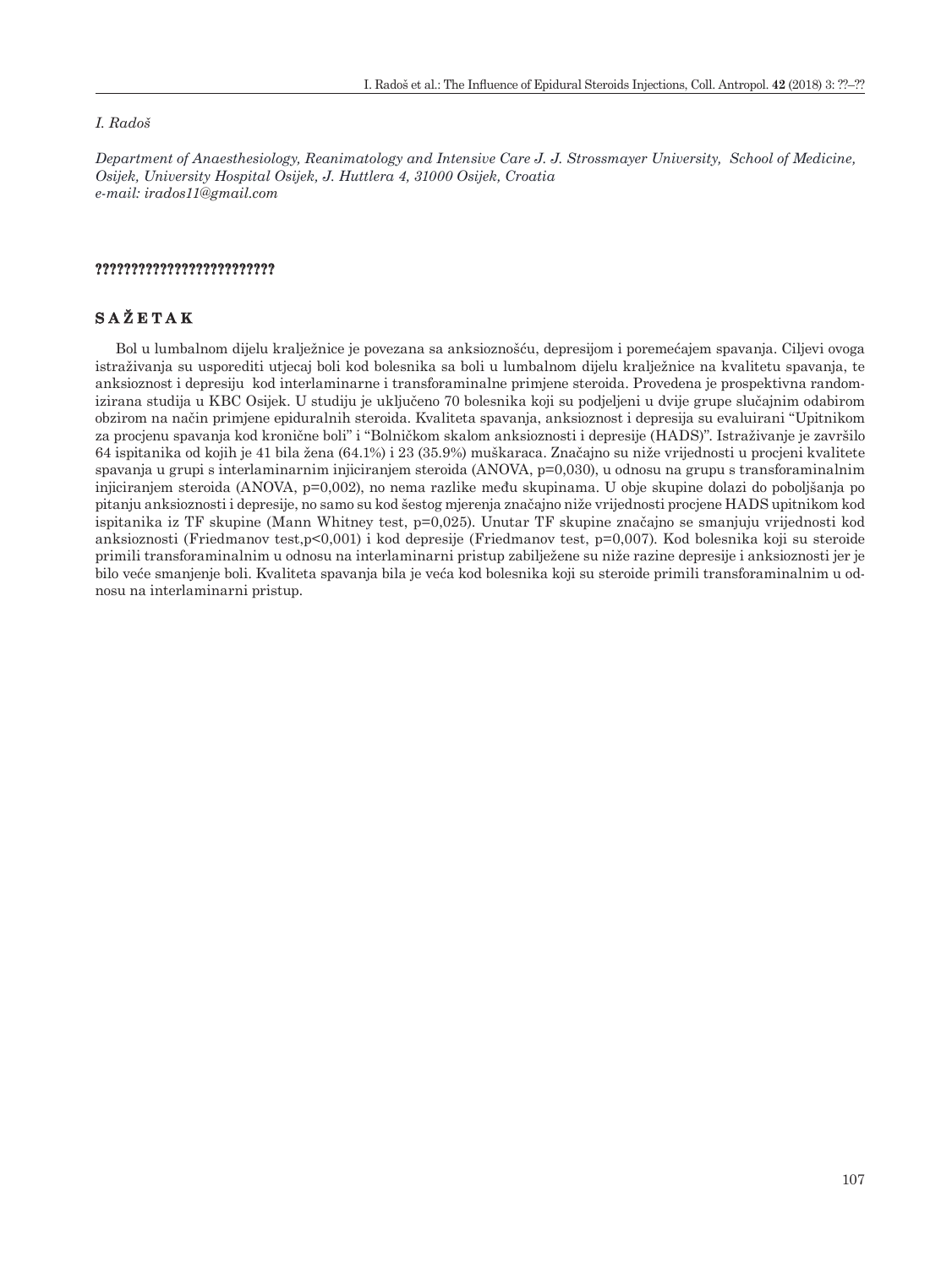#### *I. Radoš*

*Department of Anaesthesiology, Reanimatology and Intensive Care J. J. Strossmayer University, School of Medicine, Osijek, University Hospital Osijek, J. Huttlera 4, 31000 Osijek, Croatia e-mail: [irados11@gmail.com](mailto:irados11@gmail.com)*

# **?????????????????????????**

# **SAŽETAK**

Bol u lumbalnom dijelu kralježnice je povezana sa anksioznošću, depresijom i poremećajem spavanja. Ciljevi ovoga istraživanja su usporediti utjecaj boli kod bolesnika sa boli u lumbalnom dijelu kralježnice na kvalitetu spavanja, te anksioznost i depresiju kod interlaminarne i transforaminalne primjene steroida. Provedena je prospektivna randomizirana studija u KBC Osijek. U studiju je uključeno 70 bolesnika koji su podjeljeni u dvije grupe slučajnim odabirom obzirom na način primjene epiduralnih steroida. Kvaliteta spavanja, anksioznost i depresija su evaluirani "Upitnikom za procjenu spavanja kod kronične boli" i "Bolničkom skalom anksioznosti i depresije (HADS)". Istraživanje je završilo 64 ispitanika od kojih je 41 bila žena (64.1%) i 23 (35.9%) muškaraca. Značajno su niže vrijednosti u procjeni kvalitete spavanja u grupi s interlaminarnim injiciranjem steroida (ANOVA, p=0,030), u odnosu na grupu s transforaminalnim injiciranjem steroida (ANOVA, p=0,002), no nema razlike među skupinama. U obje skupine dolazi do poboljšanja po pitanju anksioznosti i depresije, no samo su kod šestog mjerenja značajno niže vrijednosti procjene HADS upitnikom kod ispitanika iz TF skupine (Mann Whitney test, p=0,025). Unutar TF skupine značajno se smanjuju vrijednosti kod anksioznosti (Friedmanov test,p<0,001) i kod depresije (Friedmanov test, p=0,007). Kod bolesnika koji su steroide primili transforaminalnim u odnosu na interlaminarni pristup zabilježene su niže razine depresije i anksioznosti jer je bilo veće smanjenje boli. Kvaliteta spavanja bila je veća kod bolesnika koji su steroide primili transforaminalnim u odnosu na interlaminarni pristup.